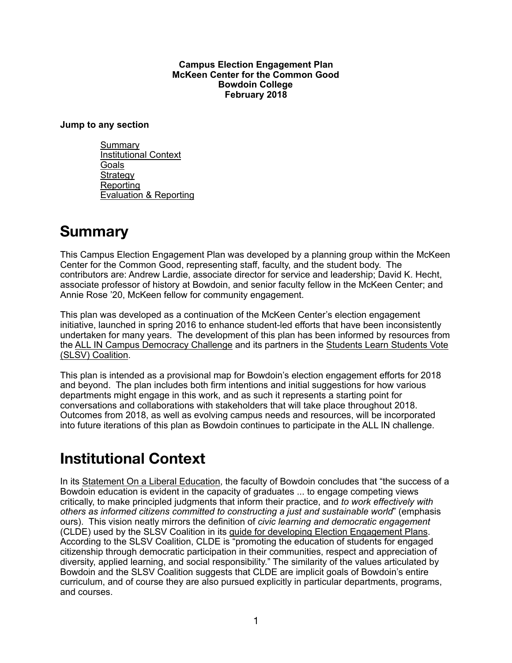#### **Campus Election Engagement Plan McKeen Center for the Common Good Bowdoin College February 2018**

#### **Jump to any section**

[Summary](#page-0-0) [Institutional Context](#page-0-1) **[Goals](#page-1-0) [Strategy](#page-2-0)** Reporting [Evaluation & Reporting](#page-4-0)

### <span id="page-0-0"></span>**[Summary](http://www.apple.com)**

This Campus Election Engagement Plan was developed by a planning group within the McKeen Center for the Common Good, representing staff, faculty, and the student body. The contributors are: Andrew Lardie, associate director for service and leadership; David K. Hecht, associate professor of history at Bowdoin, and senior faculty fellow in the McKeen Center; and Annie Rose '20, McKeen fellow for community engagement.

This plan was developed as a continuation of the McKeen Center's election engagement initiative, launched in spring 2016 to enhance student-led efforts that have been inconsistently undertaken for many years. The development of this plan has been informed by resources from the [ALL IN Campus Democracy Challenge](http://www.allinchallenge.org/about-our-work/) and its partners in the [Students Learn Students Vote](http://www.studentslearnstudentsvote.org/coalition-partners)  [\(SLSV\) Coalition](http://www.studentslearnstudentsvote.org/coalition-partners).

This plan is intended as a provisional map for Bowdoin's election engagement efforts for 2018 and beyond. The plan includes both firm intentions and initial suggestions for how various departments might engage in this work, and as such it represents a starting point for conversations and collaborations with stakeholders that will take place throughout 2018. Outcomes from 2018, as well as evolving campus needs and resources, will be incorporated into future iterations of this plan as Bowdoin continues to participate in the ALL IN challenge.

# <span id="page-0-1"></span>**Institutional Context**

In its [Statement On a Liberal Education](https://www.bowdoin.edu/academics/curriculum/statement-liberal-education.shtml), the faculty of Bowdoin concludes that "the success of a Bowdoin education is evident in the capacity of graduates ... to engage competing views critically, to make principled judgments that inform their practice, and *to work effectively with others as informed citizens committed to constructing a just and sustainable world*" (emphasis ours). This vision neatly mirrors the definition of *civic learning and democratic engagement* (CLDE) used by the SLSV Coalition in its [guide for developing Election Engagement Plans.](http://younginvincibles.org/wp-content/uploads/2017/10/Strengthening-American-Democracy_smaller-1.pdf) According to the SLSV Coalition, CLDE is "promoting the education of students for engaged citizenship through democratic participation in their communities, respect and appreciation of diversity, applied learning, and social responsibility." The similarity of the values articulated by Bowdoin and the SLSV Coalition suggests that CLDE are implicit goals of Bowdoin's entire curriculum, and of course they are also pursued explicitly in particular departments, programs, and courses.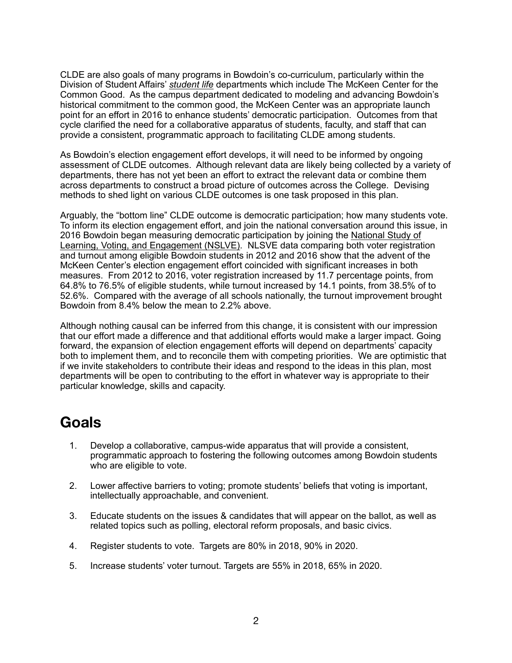CLDE are also goals of many programs in Bowdoin's co-curriculum, particularly within the Division of Student Affairs' *[student life](https://www.bowdoin.edu/campus-life/)* departments which include The McKeen Center for the Common Good. As the campus department dedicated to modeling and advancing Bowdoin's historical commitment to the common good, the McKeen Center was an appropriate launch point for an effort in 2016 to enhance students' democratic participation. Outcomes from that cycle clarified the need for a collaborative apparatus of students, faculty, and staff that can provide a consistent, programmatic approach to facilitating CLDE among students.

As Bowdoin's election engagement effort develops, it will need to be informed by ongoing assessment of CLDE outcomes. Although relevant data are likely being collected by a variety of departments, there has not yet been an effort to extract the relevant data or combine them across departments to construct a broad picture of outcomes across the College. Devising methods to shed light on various CLDE outcomes is one task proposed in this plan.

Arguably, the "bottom line" CLDE outcome is democratic participation; how many students vote. To inform its election engagement effort, and join the national conversation around this issue, in 2016 Bowdoin began measuring democratic participation by joining the [National Study of](https://idhe.tufts.edu/nslve)  [Learning, Voting, and Engagement \(NSLVE\)](https://idhe.tufts.edu/nslve). NLSVE data comparing both voter registration and turnout among eligible Bowdoin students in 2012 and 2016 show that the advent of the McKeen Center's election engagement effort coincided with significant increases in both measures. From 2012 to 2016, voter registration increased by 11.7 percentage points, from 64.8% to 76.5% of eligible students, while turnout increased by 14.1 points, from 38.5% of to 52.6%. Compared with the average of all schools nationally, the turnout improvement brought Bowdoin from 8.4% below the mean to 2.2% above.

Although nothing causal can be inferred from this change, it is consistent with our impression that our effort made a difference and that additional efforts would make a larger impact. Going forward, the expansion of election engagement efforts will depend on departments' capacity both to implement them, and to reconcile them with competing priorities. We are optimistic that if we invite stakeholders to contribute their ideas and respond to the ideas in this plan, most departments will be open to contributing to the effort in whatever way is appropriate to their particular knowledge, skills and capacity.

### <span id="page-1-0"></span>**Goals**

- 1. Develop a collaborative, campus-wide apparatus that will provide a consistent, programmatic approach to fostering the following outcomes among Bowdoin students who are eligible to vote.
- 2. Lower affective barriers to voting; promote students' beliefs that voting is important, intellectually approachable, and convenient.
- 3. Educate students on the issues & candidates that will appear on the ballot, as well as related topics such as polling, electoral reform proposals, and basic civics.
- 4. Register students to vote. Targets are 80% in 2018, 90% in 2020.
- 5. Increase students' voter turnout. Targets are 55% in 2018, 65% in 2020.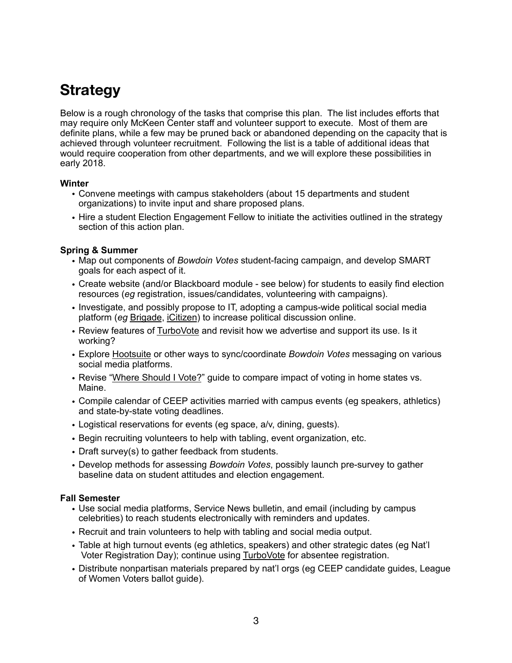## <span id="page-2-0"></span>**Strategy**

Below is a rough chronology of the tasks that comprise this plan. The list includes efforts that may require only McKeen Center staff and volunteer support to execute. Most of them are definite plans, while a few may be pruned back or abandoned depending on the capacity that is achieved through volunteer recruitment. Following the list is a table of additional ideas that would require cooperation from other departments, and we will explore these possibilities in early 2018.

#### **Winter**

- Convene meetings with campus stakeholders (about 15 departments and student organizations) to invite input and share proposed plans.
- Hire a student Election Engagement Fellow to initiate the activities outlined in the strategy section of this action plan.

#### **Spring & Summer**

- Map out components of *Bowdoin Votes* student-facing campaign, and develop SMART goals for each aspect of it.
- Create website (and/or Blackboard module see below) for students to easily find election resources (*eg* registration, issues/candidates, volunteering with campaigns).
- Investigate, and possibly propose to IT, adopting a campus-wide political social media platform (*eg* [Brigade](https://brigade.news/), [iCitizen](https://icitizen.com/)) to increase political discussion online.
- Review features of [TurboVote](https://bowdoin.turbovote.org/) and revisit how we advertise and support its use. Is it working?
- Explore [Hootsuite](https://hootsuite.com/) or other ways to sync/coordinate *Bowdoin Votes* messaging on various social media platforms.
- Revise ["Where Should I Vote?](https://drive.google.com/file/d/0B311Ixrj1-y9Y1lJWHo3X2p5VzA/view?usp=sharing)" guide to compare impact of voting in home states vs. Maine.
- Compile calendar of CEEP activities married with campus events (eg speakers, athletics) and state-by-state voting deadlines.
- Logistical reservations for events (eg space, a/v, dining, guests).
- Begin recruiting volunteers to help with tabling, event organization, etc.
- Draft survey(s) to gather feedback from students.
- Develop methods for assessing *Bowdoin Votes*, possibly launch pre-survey to gather baseline data on student attitudes and election engagement.

#### **Fall Semester**

- Use social media platforms, Service News bulletin, and email (including by campus celebrities) to reach students electronically with reminders and updates.
- Recruit and train volunteers to help with tabling and social media output.
- Table at high turnout events (eg athletics, speakers) and other strategic dates (eg Nat'l Voter Registration Day); continue using [TurboVote](https://bowdoin.turbovote.org/) for absentee registration.
- Distribute nonpartisan materials prepared by nat'l orgs (eg CEEP candidate guides, League of Women Voters ballot guide).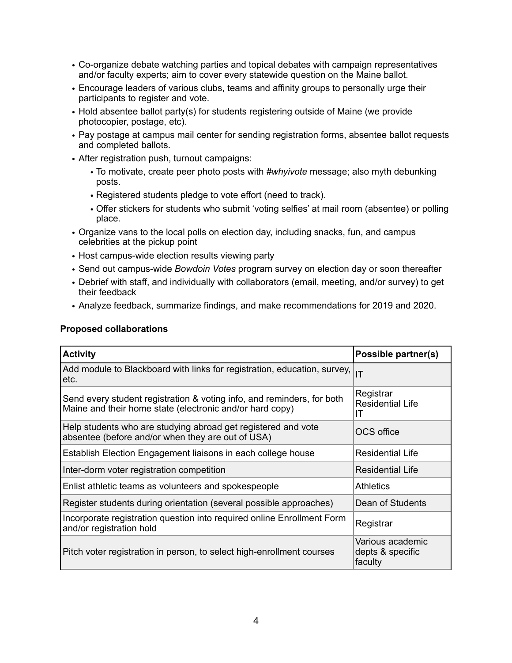- Co-organize debate watching parties and topical debates with campaign representatives and/or faculty experts; aim to cover every statewide question on the Maine ballot.
- Encourage leaders of various clubs, teams and affinity groups to personally urge their participants to register and vote.
- Hold absentee ballot party(s) for students registering outside of Maine (we provide photocopier, postage, etc).
- Pay postage at campus mail center for sending registration forms, absentee ballot requests and completed ballots.
- After registration push, turnout campaigns:
	- To motivate, create peer photo posts with *#whyivote* message; also myth debunking posts.
	- Registered students pledge to vote effort (need to track).
	- Offer stickers for students who submit 'voting selfies' at mail room (absentee) or polling place.
- Organize vans to the local polls on election day, including snacks, fun, and campus celebrities at the pickup point
- Host campus-wide election results viewing party
- Send out campus-wide *Bowdoin Votes* program survey on election day or soon thereafter
- Debrief with staff, and individually with collaborators (email, meeting, and/or survey) to get their feedback
- Analyze feedback, summarize findings, and make recommendations for 2019 and 2020.

#### **Proposed collaborations**

| <b>Activity</b>                                                                                                                    | Possible partner(s)                             |
|------------------------------------------------------------------------------------------------------------------------------------|-------------------------------------------------|
| Add module to Blackboard with links for registration, education, survey,<br>letc.                                                  | IT                                              |
| Send every student registration & voting info, and reminders, for both<br>Maine and their home state (electronic and/or hard copy) | Registrar<br><b>Residential Life</b><br>ΙT      |
| Help students who are studying abroad get registered and vote<br>absentee (before and/or when they are out of USA)                 | OCS office                                      |
| Establish Election Engagement liaisons in each college house                                                                       | <b>Residential Life</b>                         |
| Inter-dorm voter registration competition                                                                                          | <b>Residential Life</b>                         |
| Enlist athletic teams as volunteers and spokespeople                                                                               | <b>Athletics</b>                                |
| Register students during orientation (several possible approaches)                                                                 | Dean of Students                                |
| Incorporate registration question into required online Enrollment Form<br>and/or registration hold                                 | Registrar                                       |
| Pitch voter registration in person, to select high-enrollment courses                                                              | Various academic<br>depts & specific<br>faculty |